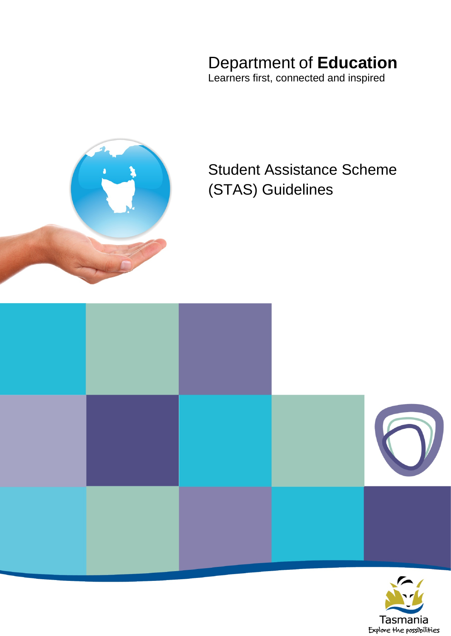# Department of **Education**

Learners first, connected and inspired



# Student Assistance Scheme (STAS) Guidelines



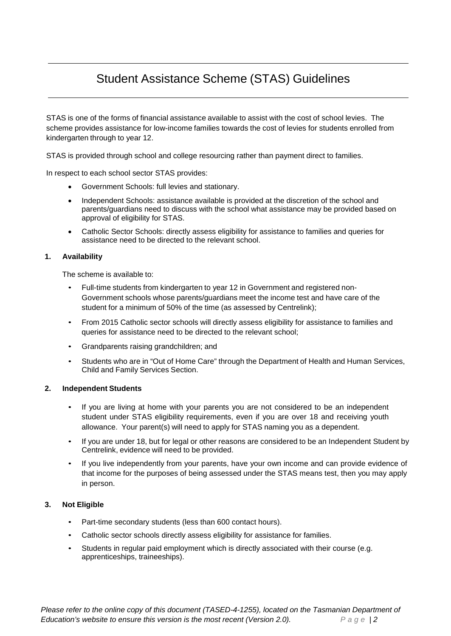## Student Assistance Scheme (STAS) Guidelines

STAS is one of the forms of financial assistance available to assist with the cost of school levies. The scheme provides assistance for low-income families towards the cost of levies for students enrolled from kindergarten through to year 12.

STAS is provided through school and college resourcing rather than payment direct to families.

In respect to each school sector STAS provides:

- Government Schools: full levies and stationary.
- Independent Schools: assistance available is provided at the discretion of the school and parents/guardians need to discuss with the school what assistance may be provided based on approval of eligibility for STAS.
- Catholic Sector Schools: directly assess eligibility for assistance to families and queries for assistance need to be directed to the relevant school.

#### **1. Availability**

The scheme is available to:

- Full-time students from kindergarten to year 12 in Government and registered non-Government schools whose parents/guardians meet the income test and have care of the student for a minimum of 50% of the time (as assessed by Centrelink);
- From 2015 Catholic sector schools will directly assess eligibility for assistance to families and queries for assistance need to be directed to the relevant school;
- Grandparents raising grandchildren; and
- Students who are in "Out of Home Care" through the Department of Health and Human Services, Child and Family Services Section.

#### **2. Independent Students**

- If you are living at home with your parents you are not considered to be an independent student under STAS eligibility requirements, even if you are over 18 and receiving youth allowance. Your parent(s) will need to apply for STAS naming you as a dependent.
- If you are under 18, but for legal or other reasons are considered to be an Independent Student by Centrelink, evidence will need to be provided.
- If you live independently from your parents, have your own income and can provide evidence of that income for the purposes of being assessed under the STAS means test, then you may apply in person.

#### **3. Not Eligible**

- Part-time secondary students (less than 600 contact hours).
- Catholic sector schools directly assess eligibility for assistance for families.
- Students in regular paid employment which is directly associated with their course (e.g. apprenticeships, traineeships).